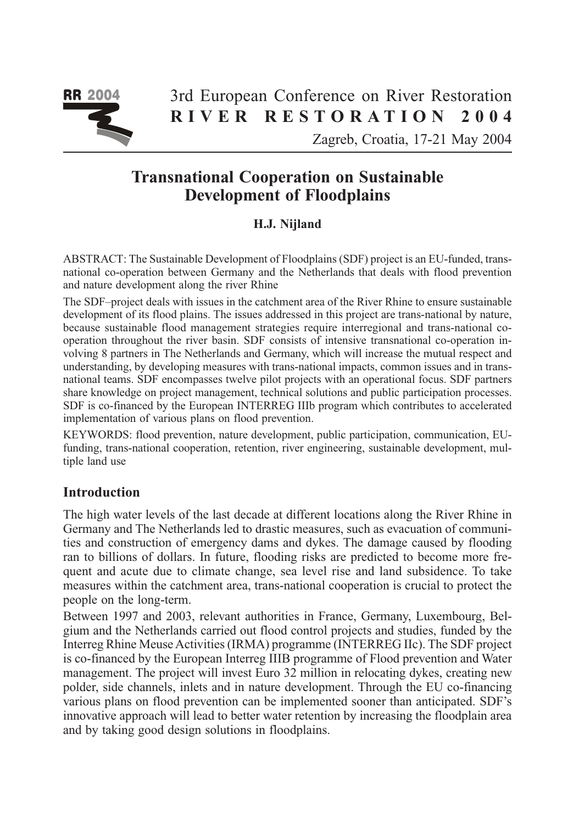

# 3rd European Conference on River Restoration RIVER RESTORATION 2004

Zagreb, Croatia, 17-21 May 2004

# Transnational Cooperation on Sustainable Development of Floodplains

# H.J. Nijland

ABSTRACT: The Sustainable Development of Floodplains (SDF) project is an EU-funded, transnational co-operation between Germany and the Netherlands that deals with flood prevention and nature development along the river Rhine

The SDF–project deals with issues in the catchment area of the River Rhine to ensure sustainable development of its flood plains. The issues addressed in this project are trans-national by nature, because sustainable flood management strategies require interregional and trans-national cooperation throughout the river basin. SDF consists of intensive transnational co-operation involving 8 partners in The Netherlands and Germany, which will increase the mutual respect and understanding, by developing measures with trans-national impacts, common issues and in transnational teams. SDF encompasses twelve pilot projects with an operational focus. SDF partners share knowledge on project management, technical solutions and public participation processes. SDF is co-financed by the European INTERREG IIIb program which contributes to accelerated implementation of various plans on flood prevention.

KEYWORDS: flood prevention, nature development, public participation, communication, EUfunding, trans-national cooperation, retention, river engineering, sustainable development, multiple land use

# **Introduction**

The high water levels of the last decade at different locations along the River Rhine in Germany and The Netherlands led to drastic measures, such as evacuation of communities and construction of emergency dams and dykes. The damage caused by flooding ran to billions of dollars. In future, flooding risks are predicted to become more frequent and acute due to climate change, sea level rise and land subsidence. To take measures within the catchment area, trans-national cooperation is crucial to protect the people on the long-term.

Between 1997 and 2003, relevant authorities in France, Germany, Luxembourg, Belgium and the Netherlands carried out flood control projects and studies, funded by the Interreg Rhine Meuse Activities (IRMA) programme (INTERREG IIc). The SDF project is co-financed by the European Interreg IIIB programme of Flood prevention and Water management. The project will invest Euro 32 million in relocating dykes, creating new polder, side channels, inlets and in nature development. Through the EU co-financing various plans on flood prevention can be implemented sooner than anticipated. SDF's innovative approach will lead to better water retention by increasing the floodplain area and by taking good design solutions in floodplains.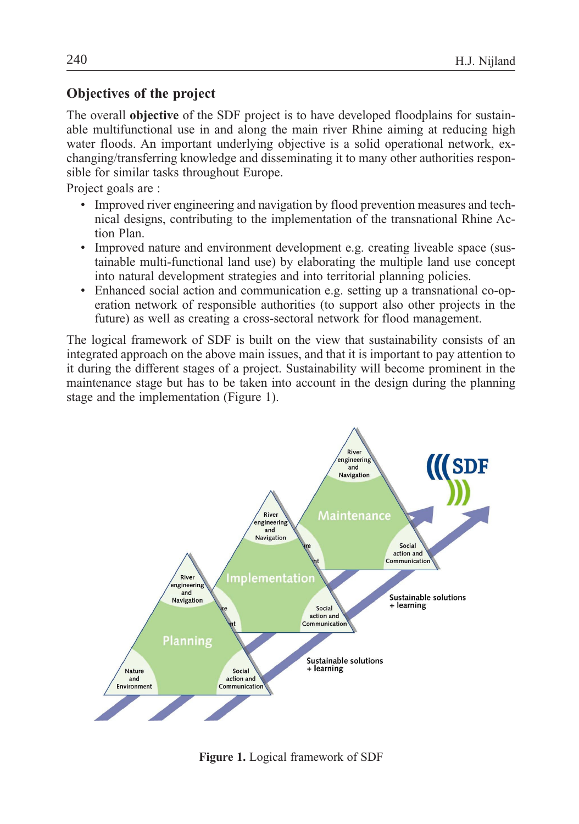# Objectives of the project

The overall objective of the SDF project is to have developed floodplains for sustainable multifunctional use in and along the main river Rhine aiming at reducing high water floods. An important underlying objective is a solid operational network, exchanging/transferring knowledge and disseminating it to many other authorities responsible for similar tasks throughout Europe.

Project goals are :

- Improved river engineering and navigation by flood prevention measures and technical designs, contributing to the implementation of the transnational Rhine Action Plan.
- Improved nature and environment development e.g. creating liveable space (sustainable multi-functional land use) by elaborating the multiple land use concept into natural development strategies and into territorial planning policies.
- Enhanced social action and communication e.g. setting up a transnational co-operation network of responsible authorities (to support also other projects in the future) as well as creating a cross-sectoral network for flood management.

The logical framework of SDF is built on the view that sustainability consists of an integrated approach on the above main issues, and that it is important to pay attention to it during the different stages of a project. Sustainability will become prominent in the maintenance stage but has to be taken into account in the design during the planning stage and the implementation (Figure 1).



Figure 1. Logical framework of SDF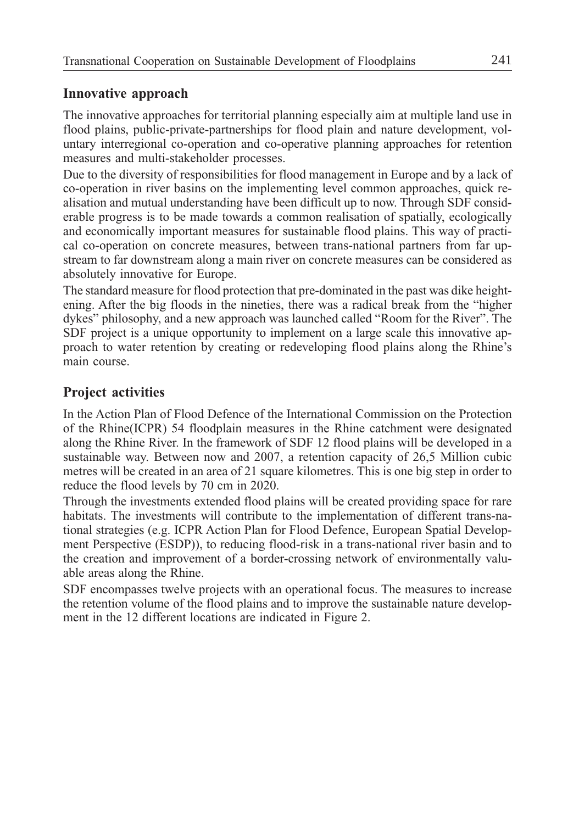#### Innovative approach

The innovative approaches for territorial planning especially aim at multiple land use in flood plains, public-private-partnerships for flood plain and nature development, voluntary interregional co-operation and co-operative planning approaches for retention measures and multi-stakeholder processes.

Due to the diversity of responsibilities for flood management in Europe and by a lack of co-operation in river basins on the implementing level common approaches, quick realisation and mutual understanding have been difficult up to now. Through SDF considerable progress is to be made towards a common realisation of spatially, ecologically and economically important measures for sustainable flood plains. This way of practical co-operation on concrete measures, between trans-national partners from far upstream to far downstream along a main river on concrete measures can be considered as absolutely innovative for Europe.

The standard measure for flood protection that pre-dominated in the past was dike heightening. After the big floods in the nineties, there was a radical break from the "higher dykes" philosophy, and a new approach was launched called "Room for the River". The SDF project is a unique opportunity to implement on a large scale this innovative approach to water retention by creating or redeveloping flood plains along the Rhine's main course.

# Project activities

In the Action Plan of Flood Defence of the International Commission on the Protection of the Rhine(ICPR) 54 floodplain measures in the Rhine catchment were designated along the Rhine River. In the framework of SDF 12 flood plains will be developed in a sustainable way. Between now and 2007, a retention capacity of 26,5 Million cubic metres will be created in an area of 21 square kilometres. This is one big step in order to reduce the flood levels by 70 cm in 2020.

Through the investments extended flood plains will be created providing space for rare habitats. The investments will contribute to the implementation of different trans-national strategies (e.g. ICPR Action Plan for Flood Defence, European Spatial Development Perspective (ESDP)), to reducing flood-risk in a trans-national river basin and to the creation and improvement of a border-crossing network of environmentally valuable areas along the Rhine.

SDF encompasses twelve projects with an operational focus. The measures to increase the retention volume of the flood plains and to improve the sustainable nature development in the 12 different locations are indicated in Figure 2.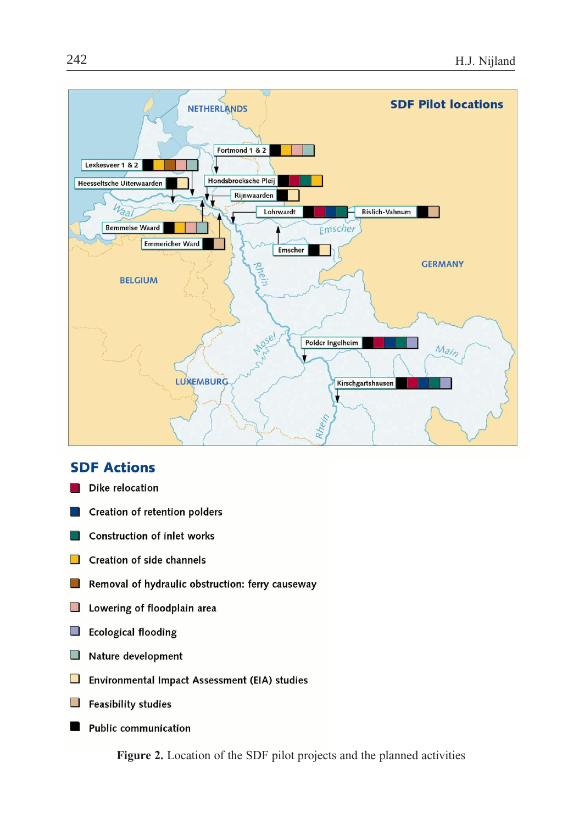

# **SDF Actions**

- Dike relocation
- Creation of retention polders
- **Construction of inlet works**
- Creation of side channels  $\mathcal{L}_{\mathcal{A}}$
- Removal of hydraulic obstruction: ferry causeway  $\Box$
- $\Box$ Lowering of floodplain area
- $\mathcal{L}_{\mathcal{A}}$ **Ecological flooding**
- Nature development  $\mathbb{R}^n$
- $\Box$ Environmental Impact Assessment (EIA) studies
- $\overline{\phantom{a}}$ **Feasibility studies**
- **Public communication**

Figure 2. Location of the SDF pilot projects and the planned activities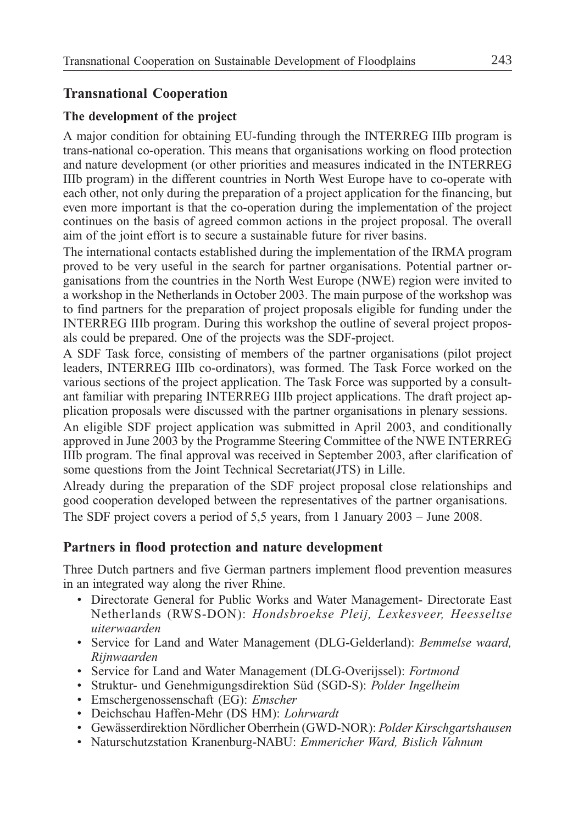# Transnational Cooperation

#### The development of the project

A major condition for obtaining EU-funding through the INTERREG IIIb program is trans-national co-operation. This means that organisations working on flood protection and nature development (or other priorities and measures indicated in the INTERREG IIIb program) in the different countries in North West Europe have to co-operate with each other, not only during the preparation of a project application for the financing, but even more important is that the co-operation during the implementation of the project continues on the basis of agreed common actions in the project proposal. The overall aim of the joint effort is to secure a sustainable future for river basins.

The international contacts established during the implementation of the IRMA program proved to be very useful in the search for partner organisations. Potential partner organisations from the countries in the North West Europe (NWE) region were invited to a workshop in the Netherlands in October 2003. The main purpose of the workshop was to find partners for the preparation of project proposals eligible for funding under the INTERREG IIIb program. During this workshop the outline of several project proposals could be prepared. One of the projects was the SDF-project.

A SDF Task force, consisting of members of the partner organisations (pilot project leaders, INTERREG IIIb co-ordinators), was formed. The Task Force worked on the various sections of the project application. The Task Force was supported by a consultant familiar with preparing INTERREG IIIb project applications. The draft project application proposals were discussed with the partner organisations in plenary sessions.

An eligible SDF project application was submitted in April 2003, and conditionally approved in June 2003 by the Programme Steering Committee of the NWE INTERREG IIIb program. The final approval was received in September 2003, after clarification of some questions from the Joint Technical Secretariat(JTS) in Lille.

Already during the preparation of the SDF project proposal close relationships and good cooperation developed between the representatives of the partner organisations. The SDF project covers a period of 5,5 years, from 1 January 2003 – June 2008.

#### Partners in flood protection and nature development

Three Dutch partners and five German partners implement flood prevention measures in an integrated way along the river Rhine.

- Directorate General for Public Works and Water Management- Directorate East Netherlands (RWS-DON): Hondsbroekse Pleij, Lexkesveer, Heesseltse uiterwaarden
- Service for Land and Water Management (DLG-Gelderland): Bemmelse waard, Rijnwaarden
- Service for Land and Water Management (DLG-Overijssel): Fortmond
- Struktur- und Genehmigungsdirektion Süd (SGD-S): Polder Ingelheim
- Emschergenossenschaft (EG): Emscher
- Deichschau Haffen-Mehr (DS HM): Lohrwardt
- Gewässerdirektion Nördlicher Oberrhein (GWD-NOR): Polder Kirschgartshausen
- Naturschutzstation Kranenburg-NABU: Emmericher Ward, Bislich Vahnum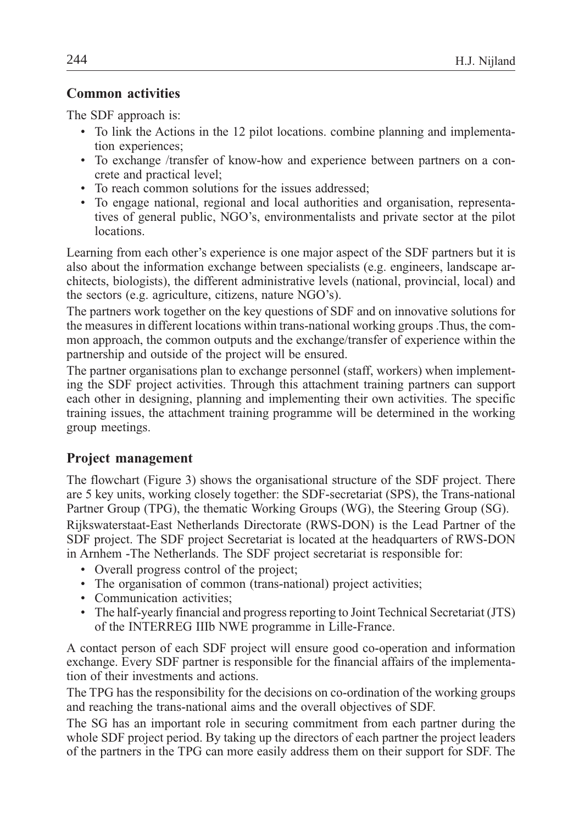# Common activities

The SDF approach is:

- To link the Actions in the 12 pilot locations. combine planning and implementation experiences;
- To exchange /transfer of know-how and experience between partners on a concrete and practical level;
- To reach common solutions for the issues addressed;
- To engage national, regional and local authorities and organisation, representatives of general public, NGO's, environmentalists and private sector at the pilot locations.

Learning from each other's experience is one major aspect of the SDF partners but it is also about the information exchange between specialists (e.g. engineers, landscape architects, biologists), the different administrative levels (national, provincial, local) and the sectors (e.g. agriculture, citizens, nature NGO's).

The partners work together on the key questions of SDF and on innovative solutions for the measures in different locations within trans-national working groups .Thus, the common approach, the common outputs and the exchange/transfer of experience within the partnership and outside of the project will be ensured.

The partner organisations plan to exchange personnel (staff, workers) when implementing the SDF project activities. Through this attachment training partners can support each other in designing, planning and implementing their own activities. The specific training issues, the attachment training programme will be determined in the working group meetings.

# Project management

The flowchart (Figure 3) shows the organisational structure of the SDF project. There are 5 key units, working closely together: the SDF-secretariat (SPS), the Trans-national Partner Group (TPG), the thematic Working Groups (WG), the Steering Group (SG). Rijkswaterstaat-East Netherlands Directorate (RWS-DON) is the Lead Partner of the

SDF project. The SDF project Secretariat is located at the headquarters of RWS-DON in Arnhem -The Netherlands. The SDF project secretariat is responsible for:

- Overall progress control of the project;
- The organisation of common (trans-national) project activities;
- Communication activities;
- The half-yearly financial and progress reporting to Joint Technical Secretariat (JTS) of the INTERREG IIIb NWE programme in Lille-France.

A contact person of each SDF project will ensure good co-operation and information exchange. Every SDF partner is responsible for the financial affairs of the implementation of their investments and actions.

The TPG has the responsibility for the decisions on co-ordination of the working groups and reaching the trans-national aims and the overall objectives of SDF.

The SG has an important role in securing commitment from each partner during the whole SDF project period. By taking up the directors of each partner the project leaders of the partners in the TPG can more easily address them on their support for SDF. The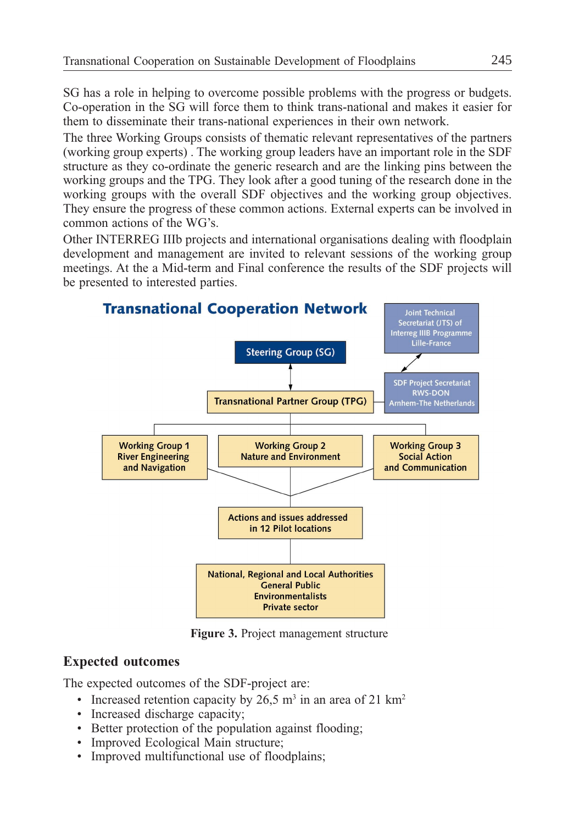SG has a role in helping to overcome possible problems with the progress or budgets. Co-operation in the SG will force them to think trans-national and makes it easier for them to disseminate their trans-national experiences in their own network.

The three Working Groups consists of thematic relevant representatives of the partners (working group experts) . The working group leaders have an important role in the SDF structure as they co-ordinate the generic research and are the linking pins between the working groups and the TPG. They look after a good tuning of the research done in the working groups with the overall SDF objectives and the working group objectives. They ensure the progress of these common actions. External experts can be involved in common actions of the WG's.

Other INTERREG IIIb projects and international organisations dealing with floodplain development and management are invited to relevant sessions of the working group meetings. At the a Mid-term and Final conference the results of the SDF projects will be presented to interested parties.



Figure 3. Project management structure

# Expected outcomes

The expected outcomes of the SDF-project are:

- Increased retention capacity by  $26.5 \text{ m}^3$  in an area of 21 km<sup>2</sup>
- Increased discharge capacity;
- Better protection of the population against flooding;
- Improved Ecological Main structure;
- Improved multifunctional use of floodplains;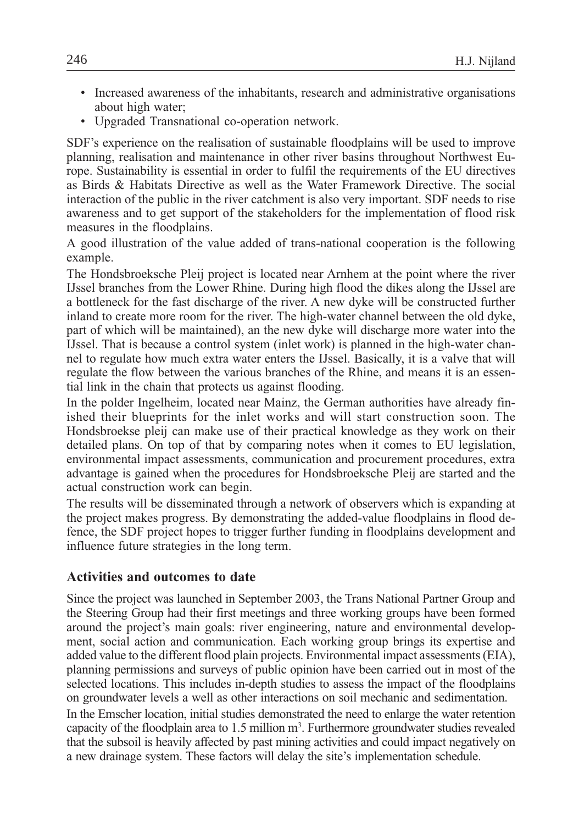- Increased awareness of the inhabitants, research and administrative organisations about high water;
- Upgraded Transnational co-operation network.

SDF's experience on the realisation of sustainable floodplains will be used to improve planning, realisation and maintenance in other river basins throughout Northwest Europe. Sustainability is essential in order to fulfil the requirements of the EU directives as Birds & Habitats Directive as well as the Water Framework Directive. The social interaction of the public in the river catchment is also very important. SDF needs to rise awareness and to get support of the stakeholders for the implementation of flood risk measures in the floodplains.

A good illustration of the value added of trans-national cooperation is the following example.

The Hondsbroeksche Pleij project is located near Arnhem at the point where the river IJssel branches from the Lower Rhine. During high flood the dikes along the IJssel are a bottleneck for the fast discharge of the river. A new dyke will be constructed further inland to create more room for the river. The high-water channel between the old dyke, part of which will be maintained), an the new dyke will discharge more water into the IJssel. That is because a control system (inlet work) is planned in the high-water channel to regulate how much extra water enters the IJssel. Basically, it is a valve that will regulate the flow between the various branches of the Rhine, and means it is an essential link in the chain that protects us against flooding.

In the polder Ingelheim, located near Mainz, the German authorities have already finished their blueprints for the inlet works and will start construction soon. The Hondsbroekse pleij can make use of their practical knowledge as they work on their detailed plans. On top of that by comparing notes when it comes to EU legislation, environmental impact assessments, communication and procurement procedures, extra advantage is gained when the procedures for Hondsbroeksche Pleij are started and the actual construction work can begin.

The results will be disseminated through a network of observers which is expanding at the project makes progress. By demonstrating the added-value floodplains in flood defence, the SDF project hopes to trigger further funding in floodplains development and influence future strategies in the long term.

#### Activities and outcomes to date

Since the project was launched in September 2003, the Trans National Partner Group and the Steering Group had their first meetings and three working groups have been formed around the project's main goals: river engineering, nature and environmental development, social action and communication. Each working group brings its expertise and added value to the different flood plain projects. Environmental impact assessments (EIA), planning permissions and surveys of public opinion have been carried out in most of the selected locations. This includes in-depth studies to assess the impact of the floodplains on groundwater levels a well as other interactions on soil mechanic and sedimentation. In the Emscher location, initial studies demonstrated the need to enlarge the water retention capacity of the floodplain area to  $1.5$  million  $m<sup>3</sup>$ . Furthermore groundwater studies revealed that the subsoil is heavily affected by past mining activities and could impact negatively on a new drainage system. These factors will delay the site's implementation schedule.